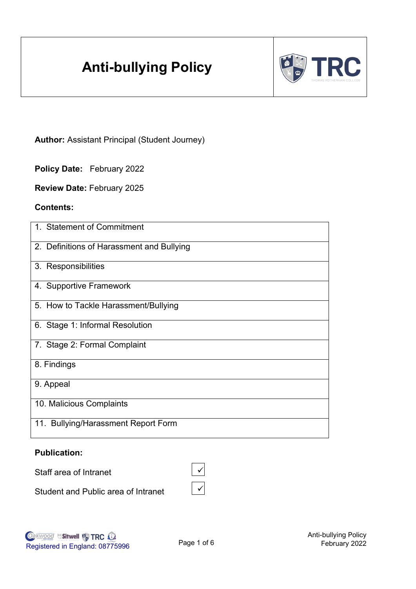# **Anti-bullying Policy**



**Author:** Assistant Principal (Student Journey)

**Policy Date:** February 2022

**Review Date:** February 2025

#### **Contents:**

| 1. Statement of Commitment                |
|-------------------------------------------|
| 2. Definitions of Harassment and Bullying |
| 3. Responsibilities                       |
| 4. Supportive Framework                   |
| 5. How to Tackle Harassment/Bullying      |
| 6. Stage 1: Informal Resolution           |
| 7. Stage 2: Formal Complaint              |
| 8. Findings                               |
| 9. Appeal                                 |
| 10. Malicious Complaints                  |
| 11. Bullying/Harassment Report Form       |

#### **Publication:**

Staff area of Intranet

Student and Public area of Intranet

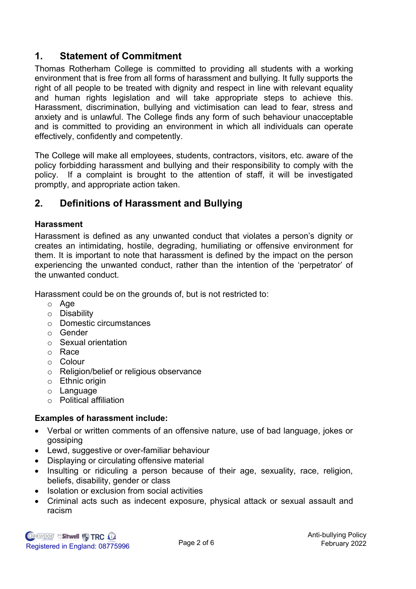# **1. Statement of Commitment**

Thomas Rotherham College is committed to providing all students with a working environment that is free from all forms of harassment and bullying. It fully supports the right of all people to be treated with dignity and respect in line with relevant equality and human rights legislation and will take appropriate steps to achieve this. Harassment, discrimination, bullying and victimisation can lead to fear, stress and anxiety and is unlawful. The College finds any form of such behaviour unacceptable and is committed to providing an environment in which all individuals can operate effectively, confidently and competently.

The College will make all employees, students, contractors, visitors, etc. aware of the policy forbidding harassment and bullying and their responsibility to comply with the policy. If a complaint is brought to the attention of staff, it will be investigated promptly, and appropriate action taken.

# **2. Definitions of Harassment and Bullying**

#### **Harassment**

Harassment is defined as any unwanted conduct that violates a person's dignity or creates an intimidating, hostile, degrading, humiliating or offensive environment for them. It is important to note that harassment is defined by the impact on the person experiencing the unwanted conduct, rather than the intention of the 'perpetrator' of the unwanted conduct.

Harassment could be on the grounds of, but is not restricted to:

- o Age
- o Disability
- o Domestic circumstances
- o Gender
- o Sexual orientation
- o Race
- o Colour
- o Religion/belief or religious observance
- o Ethnic origin
- o Language
- o Political affiliation

# **Examples of harassment include:**

- Verbal or written comments of an offensive nature, use of bad language, jokes or gossiping
- Lewd, suggestive or over-familiar behaviour
- Displaying or circulating offensive material
- Insulting or ridiculing a person because of their age, sexuality, race, religion, beliefs, disability, gender or class
- Isolation or exclusion from social activities
- Criminal acts such as indecent exposure, physical attack or sexual assault and racism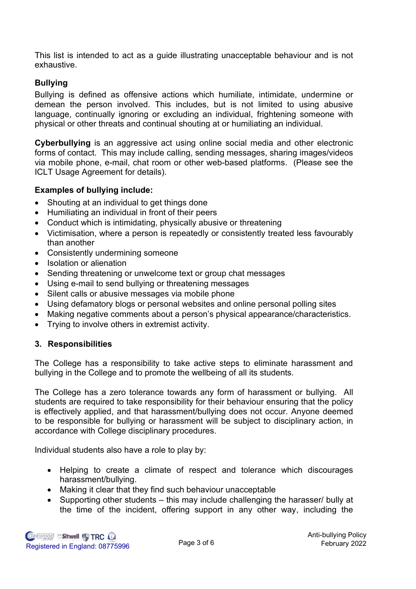This list is intended to act as a guide illustrating unacceptable behaviour and is not exhaustive.

### **Bullying**

Bullying is defined as offensive actions which humiliate, intimidate, undermine or demean the person involved. This includes, but is not limited to using abusive language, continually ignoring or excluding an individual, frightening someone with physical or other threats and continual shouting at or humiliating an individual.

**Cyberbullying** is an aggressive act using online social media and other electronic forms of contact. This may include calling, sending messages, sharing images/videos via mobile phone, e-mail, chat room or other web-based platforms. (Please see the ICLT Usage Agreement for details).

#### **Examples of bullying include:**

- Shouting at an individual to get things done
- Humiliating an individual in front of their peers
- Conduct which is intimidating, physically abusive or threatening
- Victimisation, where a person is repeatedly or consistently treated less favourably than another
- Consistently undermining someone
- Isolation or alienation
- Sending threatening or unwelcome text or group chat messages
- Using e-mail to send bullying or threatening messages
- Silent calls or abusive messages via mobile phone
- Using defamatory blogs or personal websites and online personal polling sites
- Making negative comments about a person's physical appearance/characteristics.
- Trying to involve others in extremist activity.

#### **3. Responsibilities**

The College has a responsibility to take active steps to eliminate harassment and bullying in the College and to promote the wellbeing of all its students.

The College has a zero tolerance towards any form of harassment or bullying. All students are required to take responsibility for their behaviour ensuring that the policy is effectively applied, and that harassment/bullying does not occur. Anyone deemed to be responsible for bullying or harassment will be subject to disciplinary action, in accordance with College disciplinary procedures.

Individual students also have a role to play by:

- Helping to create a climate of respect and tolerance which discourages harassment/bullying.
- Making it clear that they find such behaviour unacceptable
- Supporting other students this may include challenging the harasser/ bully at the time of the incident, offering support in any other way, including the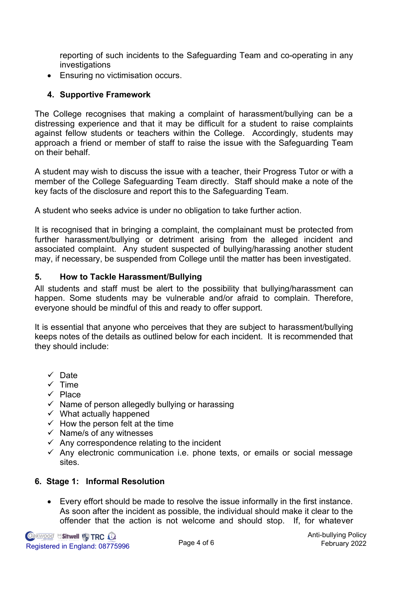reporting of such incidents to the Safeguarding Team and co-operating in any investigations

• Ensuring no victimisation occurs.

# **4. Supportive Framework**

The College recognises that making a complaint of harassment/bullying can be a distressing experience and that it may be difficult for a student to raise complaints against fellow students or teachers within the College. Accordingly, students may approach a friend or member of staff to raise the issue with the Safeguarding Team on their behalf.

A student may wish to discuss the issue with a teacher, their Progress Tutor or with a member of the College Safeguarding Team directly. Staff should make a note of the key facts of the disclosure and report this to the Safeguarding Team.

A student who seeks advice is under no obligation to take further action.

It is recognised that in bringing a complaint, the complainant must be protected from further harassment/bullying or detriment arising from the alleged incident and associated complaint. Any student suspected of bullying/harassing another student may, if necessary, be suspended from College until the matter has been investigated.

#### **5. How to Tackle Harassment/Bullying**

All students and staff must be alert to the possibility that bullying/harassment can happen. Some students may be vulnerable and/or afraid to complain. Therefore, everyone should be mindful of this and ready to offer support.

It is essential that anyone who perceives that they are subject to harassment/bullying keeps notes of the details as outlined below for each incident. It is recommended that they should include:

- ✓ Date
- $\times$  Time
- ✓ Place
- $\checkmark$  Name of person allegedly bullying or harassing
- $\checkmark$  What actually happened
- $\checkmark$  How the person felt at the time
- $\checkmark$  Name/s of any witnesses
- $\checkmark$  Any correspondence relating to the incident
- $\checkmark$  Any electronic communication i.e. phone texts, or emails or social message sites.

# **6. Stage 1: Informal Resolution**

• Every effort should be made to resolve the issue informally in the first instance. As soon after the incident as possible, the individual should make it clear to the offender that the action is not welcome and should stop. If, for whatever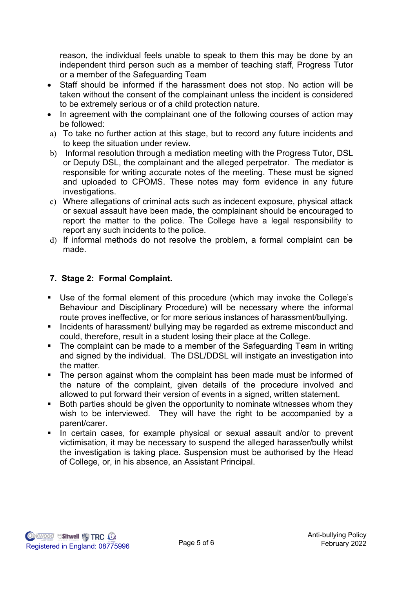reason, the individual feels unable to speak to them this may be done by an independent third person such as a member of teaching staff, Progress Tutor or a member of the Safeguarding Team

- Staff should be informed if the harassment does not stop. No action will be taken without the consent of the complainant unless the incident is considered to be extremely serious or of a child protection nature.
- In agreement with the complainant one of the following courses of action may be followed:
- a) To take no further action at this stage, but to record any future incidents and to keep the situation under review.
- b) Informal resolution through a mediation meeting with the Progress Tutor, DSL or Deputy DSL, the complainant and the alleged perpetrator. The mediator is responsible for writing accurate notes of the meeting. These must be signed and uploaded to CPOMS. These notes may form evidence in any future investigations.
- c) Where allegations of criminal acts such as indecent exposure, physical attack or sexual assault have been made, the complainant should be encouraged to report the matter to the police. The College have a legal responsibility to report any such incidents to the police.
- d) If informal methods do not resolve the problem, a formal complaint can be made.

#### **7. Stage 2: Formal Complaint.**

- Use of the formal element of this procedure (which may invoke the College's Behaviour and Disciplinary Procedure) will be necessary where the informal route proves ineffective, or for more serious instances of harassment/bullying.
- Incidents of harassment/ bullying may be regarded as extreme misconduct and could, therefore, result in a student losing their place at the College.
- The complaint can be made to a member of the Safeguarding Team in writing and signed by the individual. The DSL/DDSL will instigate an investigation into the matter.
- The person against whom the complaint has been made must be informed of the nature of the complaint, given details of the procedure involved and allowed to put forward their version of events in a signed, written statement.
- Both parties should be given the opportunity to nominate witnesses whom they wish to be interviewed. They will have the right to be accompanied by a parent/carer.
- **■** In certain cases, for example physical or sexual assault and/or to prevent victimisation, it may be necessary to suspend the alleged harasser/bully whilst the investigation is taking place. Suspension must be authorised by the Head of College, or, in his absence, an Assistant Principal.